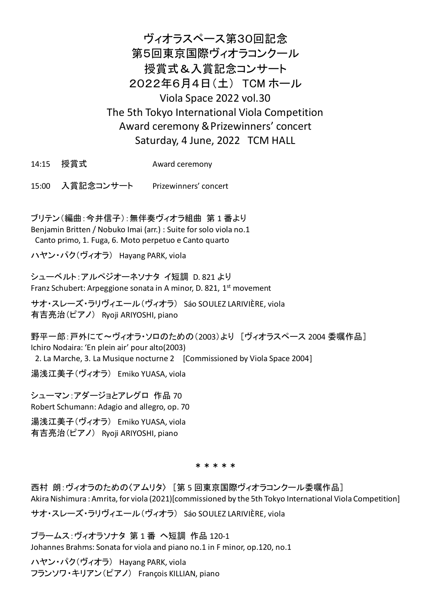# ヴィオラスペース第30回記念 第5回東京国際ヴィオラコンクール 授賞式&入賞記念コンサート 2022年6月4日(土) TCM ホール Viola Space 2022 vol.30 The 5th Tokyo International Viola Competition Award ceremony &Prizewinners' concert Saturday, 4 June, 2022 TCM HALL

- 14:15 授賞式 Award ceremony
- 15:00 入賞記念コンサート Prizewinners' concert

ブリテン(編曲:今井信子):無伴奏ヴィオラ組曲 第 1 番より Benjamin Britten / Nobuko Imai (arr.) : Suite for solo viola no.1 Canto primo, 1. Fuga, 6. Moto perpetuo e Canto quarto

ハヤン・パク(ヴィオラ) Hayang PARK, viola

シューベルト:アルペジオーネソナタ イ短調 D. 821 より Franz Schubert: Arpeggione sonata in A minor, D. 821, 1<sup>st</sup> movement

サオ・スレーズ・ラリヴィエール(ヴィオラ) Sáo SOULEZ LARIVIÈRE, viola 有吉亮治(ピアノ) Ryoji ARIYOSHI, piano

野平一郎:戸外にて〜ヴィオラ・ソロのための(2003)より [ヴィオラスペース 2004 委嘱作品] Ichiro Nodaira: 'En plein air' pour alto(2003) 2. La Marche, 3. La Musique nocturne 2 [Commissioned by Viola Space 2004]

湯浅江美子(ヴィオラ) Emiko YUASA, viola

シューマン:アダージョとアレグロ 作品 70 Robert Schumann: Adagio and allegro, op. 70

湯浅江美子(ヴィオラ) Emiko YUASA, viola 有吉亮治(ピアノ) Ryoji ARIYOSHI, piano

\*\*\*\*\*

西村 朗:ヴィオラのための〈アムリタ〉 [第 5 回東京国際ヴィオラコンクール委嘱作品] Akira Nishimura : Amrita, for viola (2021)[commissioned by the 5th Tokyo International Viola Competition]

サオ・スレーズ・ラリヴィエール(ヴィオラ) Sáo SOULEZ LARIVIÈRE, viola

ブラームス:ヴィオラソナタ 第 1 番 ヘ短調 作品 120-1 Johannes Brahms: Sonata for viola and piano no.1 in F minor, op.120, no.1

ハヤン・パク(ヴィオラ) Hayang PARK, viola フランソワ・キリアン(ピアノ) François KILLIAN, piano